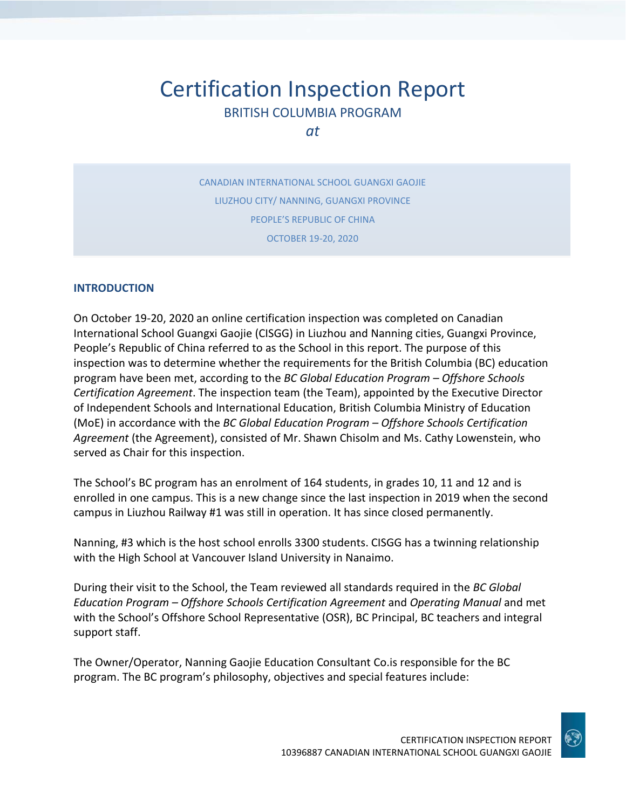# Certification Inspection Report BRITISH COLUMBIA PROGRAM

*at*

CANADIAN INTERNATIONAL SCHOOL GUANGXI GAOJIE LIUZHOU CITY/ NANNING, GUANGXI PROVINCE PEOPLE'S REPUBLIC OF CHINA OCTOBER 19-20, 2020

### **INTRODUCTION**

On October 19-20, 2020 an online certification inspection was completed on Canadian International School Guangxi Gaojie (CISGG) in Liuzhou and Nanning cities, Guangxi Province, People's Republic of China referred to as the School in this report. The purpose of this inspection was to determine whether the requirements for the British Columbia (BC) education program have been met, according to the *BC Global Education Program – Offshore Schools Certification Agreement*. The inspection team (the Team), appointed by the Executive Director of Independent Schools and International Education, British Columbia Ministry of Education (MoE) in accordance with the *BC Global Education Program – Offshore Schools Certification Agreement* (the Agreement), consisted of Mr. Shawn Chisolm and Ms. Cathy Lowenstein, who served as Chair for this inspection.

The School's BC program has an enrolment of 164 students, in grades 10, 11 and 12 and is enrolled in one campus. This is a new change since the last inspection in 2019 when the second campus in Liuzhou Railway #1 was still in operation. It has since closed permanently.

Nanning, #3 which is the host school enrolls 3300 students. CISGG has a twinning relationship with the High School at Vancouver Island University in Nanaimo.

During their visit to the School, the Team reviewed all standards required in the *BC Global Education Program – Offshore Schools Certification Agreement* and *Operating Manual* and met with the School's Offshore School Representative (OSR), BC Principal, BC teachers and integral support staff.

The Owner/Operator, Nanning Gaojie Education Consultant Co.is responsible for the BC program. The BC program's philosophy, objectives and special features include:

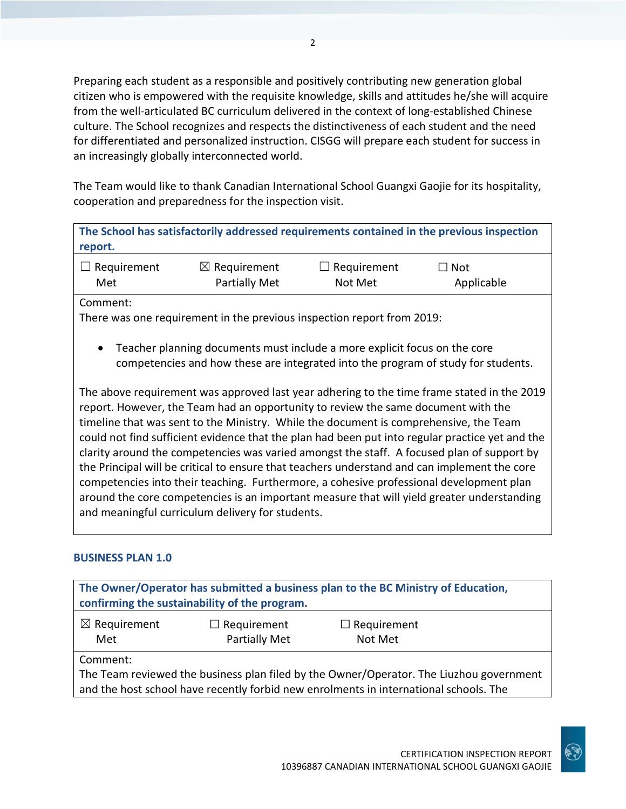Preparing each student as a responsible and positively contributing new generation global citizen who is empowered with the requisite knowledge, skills and attitudes he/she will acquire from the well-articulated BC curriculum delivered in the context of long-established Chinese culture. The School recognizes and respects the distinctiveness of each student and the need for differentiated and personalized instruction. CISGG will prepare each student for success in an increasingly globally interconnected world.

The Team would like to thank Canadian International School Guangxi Gaojie for its hospitality, cooperation and preparedness for the inspection visit.

**The School has satisfactorily addressed requirements contained in the previous inspection report.**

| $\Box$ Requirement | $\boxtimes$ Requirement | $\Box$ Requirement | $\Box$ Not |
|--------------------|-------------------------|--------------------|------------|
| Met                | <b>Partially Met</b>    | Not Met            | Applicable |

Comment:

There was one requirement in the previous inspection report from 2019:

• Teacher planning documents must include a more explicit focus on the core competencies and how these are integrated into the program of study for students.

The above requirement was approved last year adhering to the time frame stated in the 2019 report. However, the Team had an opportunity to review the same document with the timeline that was sent to the Ministry. While the document is comprehensive, the Team could not find sufficient evidence that the plan had been put into regular practice yet and the clarity around the competencies was varied amongst the staff. A focused plan of support by the Principal will be critical to ensure that teachers understand and can implement the core competencies into their teaching. Furthermore, a cohesive professional development plan around the core competencies is an important measure that will yield greater understanding and meaningful curriculum delivery for students.

## **BUSINESS PLAN 1.0**

| The Owner/Operator has submitted a business plan to the BC Ministry of Education,<br>confirming the sustainability of the program. |  |  |  |
|------------------------------------------------------------------------------------------------------------------------------------|--|--|--|
| $\boxtimes$ Requirement<br>$\Box$ Requirement<br>$\Box$ Requirement<br>Partially Met<br>Met<br>Not Met                             |  |  |  |
| Comment:                                                                                                                           |  |  |  |
| The Team reviewed the business plan filed by the Owner/Operator. The Liuzhou government                                            |  |  |  |
| and the host school have recently forbid new enrolments in international schools. The                                              |  |  |  |

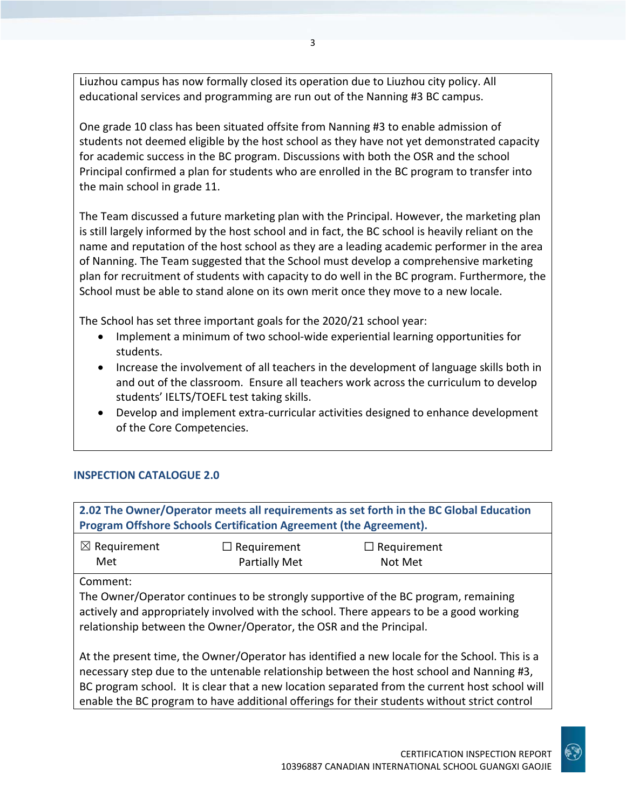Liuzhou campus has now formally closed its operation due to Liuzhou city policy. All educational services and programming are run out of the Nanning #3 BC campus.

One grade 10 class has been situated offsite from Nanning #3 to enable admission of students not deemed eligible by the host school as they have not yet demonstrated capacity for academic success in the BC program. Discussions with both the OSR and the school Principal confirmed a plan for students who are enrolled in the BC program to transfer into the main school in grade 11.

The Team discussed a future marketing plan with the Principal. However, the marketing plan is still largely informed by the host school and in fact, the BC school is heavily reliant on the name and reputation of the host school as they are a leading academic performer in the area of Nanning. The Team suggested that the School must develop a comprehensive marketing plan for recruitment of students with capacity to do well in the BC program. Furthermore, the School must be able to stand alone on its own merit once they move to a new locale.

The School has set three important goals for the 2020/21 school year:

- Implement a minimum of two school-wide experiential learning opportunities for students.
- Increase the involvement of all teachers in the development of language skills both in and out of the classroom. Ensure all teachers work across the curriculum to develop students' IELTS/TOEFL test taking skills.
- Develop and implement extra-curricular activities designed to enhance development of the Core Competencies.

## **INSPECTION CATALOGUE 2.0**

| 2.02 The Owner/Operator meets all requirements as set forth in the BC Global Education<br>Program Offshore Schools Certification Agreement (the Agreement).                                                                                           |                      |                    |  |
|-------------------------------------------------------------------------------------------------------------------------------------------------------------------------------------------------------------------------------------------------------|----------------------|--------------------|--|
|                                                                                                                                                                                                                                                       |                      |                    |  |
| $\boxtimes$ Requirement                                                                                                                                                                                                                               | $\Box$ Requirement   | $\Box$ Requirement |  |
| Met                                                                                                                                                                                                                                                   | <b>Partially Met</b> | Not Met            |  |
| Comment:                                                                                                                                                                                                                                              |                      |                    |  |
| The Owner/Operator continues to be strongly supportive of the BC program, remaining<br>actively and appropriately involved with the school. There appears to be a good working<br>relationship between the Owner/Operator, the OSR and the Principal. |                      |                    |  |
| At the present time, the Owner/Operator has identified a new locale for the School. This is a<br>nessessive to a dua to the untensplayed included in between the heat school and Napping #2                                                           |                      |                    |  |

necessary step due to the untenable relationship between the host school and Nanning #3, BC program school. It is clear that a new location separated from the current host school will enable the BC program to have additional offerings for their students without strict control

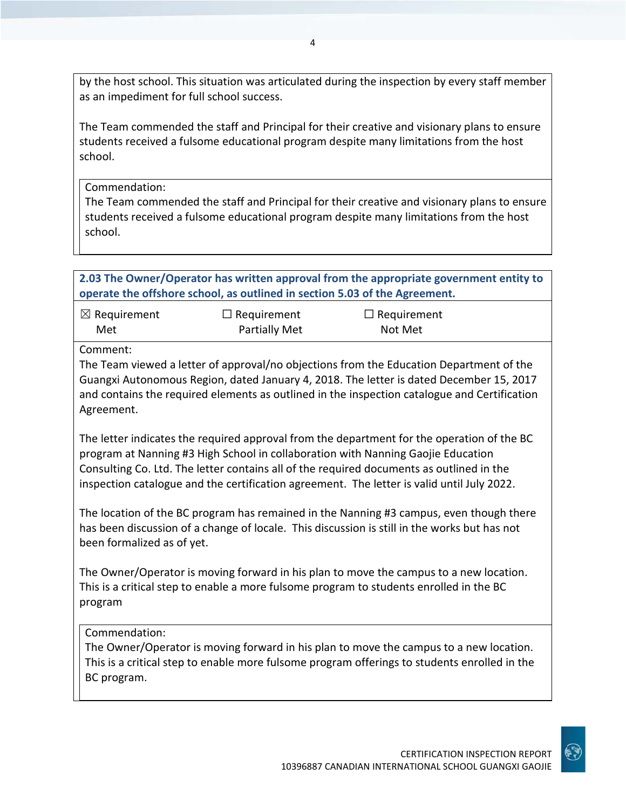by the host school. This situation was articulated during the inspection by every staff member as an impediment for full school success.

The Team commended the staff and Principal for their creative and visionary plans to ensure students received a fulsome educational program despite many limitations from the host school.

Commendation:

The Team commended the staff and Principal for their creative and visionary plans to ensure students received a fulsome educational program despite many limitations from the host school.

**2.03 The Owner/Operator has written approval from the appropriate government entity to operate the offshore school, as outlined in section 5.03 of the Agreement.**

| $\boxtimes$ Requirement | $\Box$ Requirement   | $\Box$ Requirement |
|-------------------------|----------------------|--------------------|
| Met                     | <b>Partially Met</b> | Not Met            |

Comment:

The Team viewed a letter of approval/no objections from the Education Department of the Guangxi Autonomous Region, dated January 4, 2018. The letter is dated December 15, 2017 and contains the required elements as outlined in the inspection catalogue and Certification Agreement.

The letter indicates the required approval from the department for the operation of the BC program at Nanning #3 High School in collaboration with Nanning Gaojie Education Consulting Co. Ltd. The letter contains all of the required documents as outlined in the inspection catalogue and the certification agreement. The letter is valid until July 2022.

The location of the BC program has remained in the Nanning #3 campus, even though there has been discussion of a change of locale. This discussion is still in the works but has not been formalized as of yet.

The Owner/Operator is moving forward in his plan to move the campus to a new location. This is a critical step to enable a more fulsome program to students enrolled in the BC program

## Commendation:

The Owner/Operator is moving forward in his plan to move the campus to a new location. This is a critical step to enable more fulsome program offerings to students enrolled in the BC program.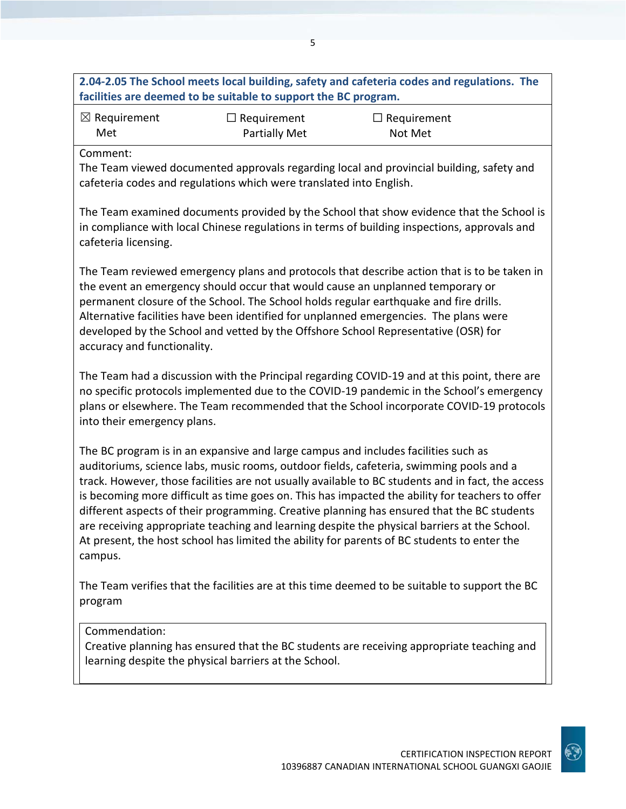## **2.04-2.05 The School meets local building, safety and cafeteria codes and regulations. The facilities are deemed to be suitable to support the BC program.** ☒ Requirement Met ☐ Requirement Partially Met ☐ Requirement Not Met Comment: The Team viewed documented approvals regarding local and provincial building, safety and cafeteria codes and regulations which were translated into English. The Team examined documents provided by the School that show evidence that the School is in compliance with local Chinese regulations in terms of building inspections, approvals and cafeteria licensing. The Team reviewed emergency plans and protocols that describe action that is to be taken in the event an emergency should occur that would cause an unplanned temporary or permanent closure of the School. The School holds regular earthquake and fire drills. Alternative facilities have been identified for unplanned emergencies. The plans were developed by the School and vetted by the Offshore School Representative (OSR) for accuracy and functionality. The Team had a discussion with the Principal regarding COVID-19 and at this point, there are no specific protocols implemented due to the COVID-19 pandemic in the School's emergency plans or elsewhere. The Team recommended that the School incorporate COVID-19 protocols into their emergency plans. The BC program is in an expansive and large campus and includes facilities such as auditoriums, science labs, music rooms, outdoor fields, cafeteria, swimming pools and a track. However, those facilities are not usually available to BC students and in fact, the access is becoming more difficult as time goes on. This has impacted the ability for teachers to offer different aspects of their programming. Creative planning has ensured that the BC students are receiving appropriate teaching and learning despite the physical barriers at the School. At present, the host school has limited the ability for parents of BC students to enter the campus. The Team verifies that the facilities are at this time deemed to be suitable to support the BC program

## Commendation:

Creative planning has ensured that the BC students are receiving appropriate teaching and learning despite the physical barriers at the School.

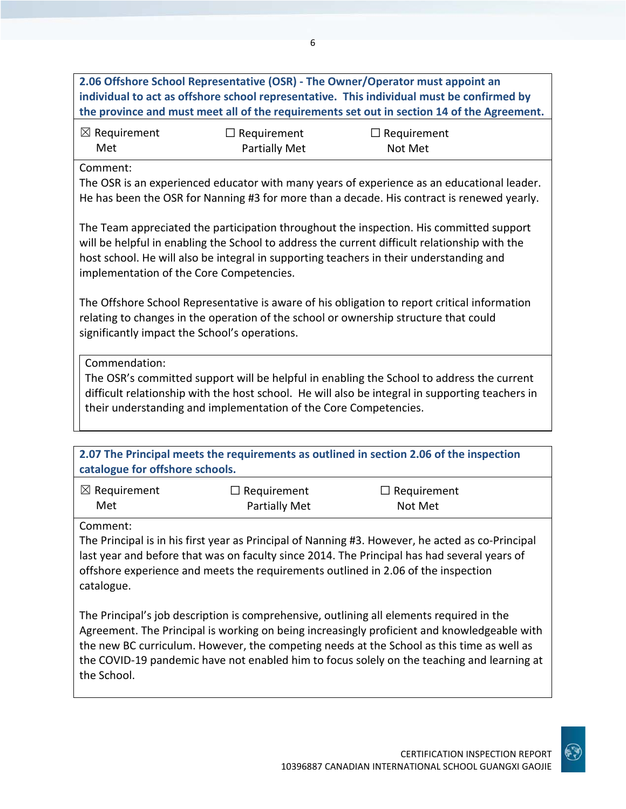**2.06 Offshore School Representative (OSR) - The Owner/Operator must appoint an individual to act as offshore school representative. This individual must be confirmed by the province and must meet all of the requirements set out in section 14 of the Agreement.**

| $\boxtimes$ Requirement | $\Box$ Requirement | $\Box$ Requirement |
|-------------------------|--------------------|--------------------|
| Met                     | Partially Met      | Not Met            |

Comment:

The OSR is an experienced educator with many years of experience as an educational leader. He has been the OSR for Nanning #3 for more than a decade. His contract is renewed yearly.

The Team appreciated the participation throughout the inspection. His committed support will be helpful in enabling the School to address the current difficult relationship with the host school. He will also be integral in supporting teachers in their understanding and implementation of the Core Competencies.

The Offshore School Representative is aware of his obligation to report critical information relating to changes in the operation of the school or ownership structure that could significantly impact the School's operations.

Commendation:

The OSR's committed support will be helpful in enabling the School to address the current difficult relationship with the host school. He will also be integral in supporting teachers in their understanding and implementation of the Core Competencies.

**2.07 The Principal meets the requirements as outlined in section 2.06 of the inspection catalogue for offshore schools.**

| $\boxtimes$ Requirement | $\Box$ Requirement   | $\Box$ Requirement |
|-------------------------|----------------------|--------------------|
| Met                     | <b>Partially Met</b> | Not Met            |

Comment:

The Principal is in his first year as Principal of Nanning #3. However, he acted as co-Principal last year and before that was on faculty since 2014. The Principal has had several years of offshore experience and meets the requirements outlined in 2.06 of the inspection catalogue.

The Principal's job description is comprehensive, outlining all elements required in the Agreement. The Principal is working on being increasingly proficient and knowledgeable with the new BC curriculum. However, the competing needs at the School as this time as well as the COVID-19 pandemic have not enabled him to focus solely on the teaching and learning at the School.

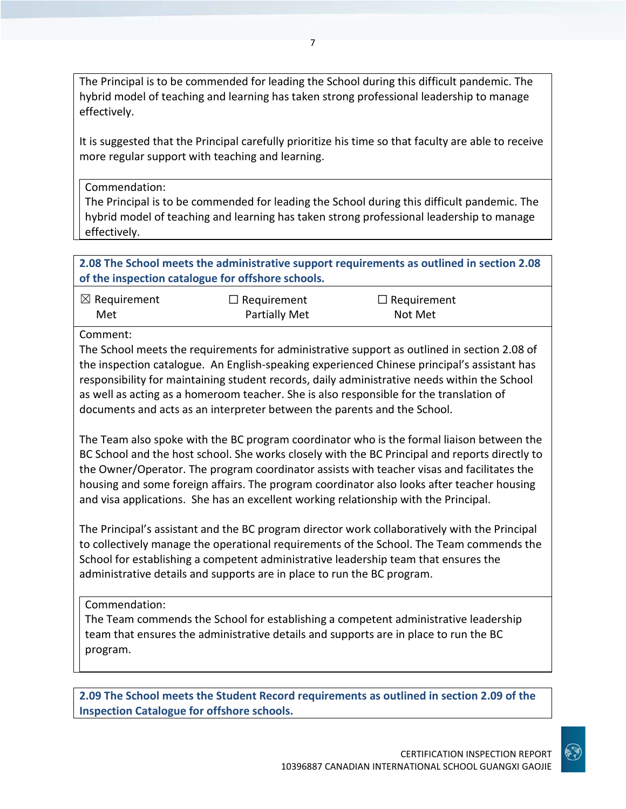The Principal is to be commended for leading the School during this difficult pandemic. The hybrid model of teaching and learning has taken strong professional leadership to manage effectively.

It is suggested that the Principal carefully prioritize his time so that faculty are able to receive more regular support with teaching and learning.

Commendation:

The Principal is to be commended for leading the School during this difficult pandemic. The hybrid model of teaching and learning has taken strong professional leadership to manage effectively.

**2.08 The School meets the administrative support requirements as outlined in section 2.08 of the inspection catalogue for offshore schools.**

| $\boxtimes$ Requirement | $\Box$ Requirement   | $\Box$ Requirement |
|-------------------------|----------------------|--------------------|
| Met                     | <b>Partially Met</b> | Not Met            |

Comment:

The School meets the requirements for administrative support as outlined in section 2.08 of the inspection catalogue. An English-speaking experienced Chinese principal's assistant has responsibility for maintaining student records, daily administrative needs within the School as well as acting as a homeroom teacher. She is also responsible for the translation of documents and acts as an interpreter between the parents and the School.

The Team also spoke with the BC program coordinator who is the formal liaison between the BC School and the host school. She works closely with the BC Principal and reports directly to the Owner/Operator. The program coordinator assists with teacher visas and facilitates the housing and some foreign affairs. The program coordinator also looks after teacher housing and visa applications. She has an excellent working relationship with the Principal.

The Principal's assistant and the BC program director work collaboratively with the Principal to collectively manage the operational requirements of the School. The Team commends the School for establishing a competent administrative leadership team that ensures the administrative details and supports are in place to run the BC program.

Commendation:

The Team commends the School for establishing a competent administrative leadership team that ensures the administrative details and supports are in place to run the BC program.

**2.09 The School meets the Student Record requirements as outlined in section 2.09 of the Inspection Catalogue for offshore schools.**

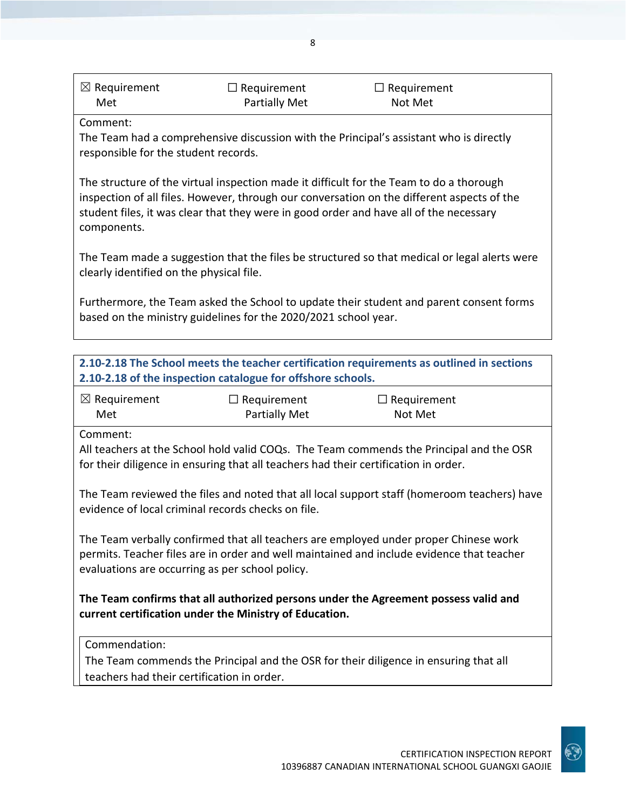| $\boxtimes$ Requirement | $\Box$ Requirement   | $\Box$ Requirement |  |
|-------------------------|----------------------|--------------------|--|
| Met                     | <b>Partially Met</b> | Not Met            |  |

Comment:

The Team had a comprehensive discussion with the Principal's assistant who is directly responsible for the student records.

The structure of the virtual inspection made it difficult for the Team to do a thorough inspection of all files. However, through our conversation on the different aspects of the student files, it was clear that they were in good order and have all of the necessary components.

The Team made a suggestion that the files be structured so that medical or legal alerts were clearly identified on the physical file.

Furthermore, the Team asked the School to update their student and parent consent forms based on the ministry guidelines for the 2020/2021 school year.

| 2.10-2.18 The School meets the teacher certification requirements as outlined in sections<br>2.10-2.18 of the inspection catalogue for offshore schools.                                                                             |                                                                                     |                                                                                         |  |
|--------------------------------------------------------------------------------------------------------------------------------------------------------------------------------------------------------------------------------------|-------------------------------------------------------------------------------------|-----------------------------------------------------------------------------------------|--|
| $\boxtimes$ Requirement<br>Met                                                                                                                                                                                                       | $\Box$ Requirement<br>Partially Met                                                 | $\Box$ Requirement<br>Not Met                                                           |  |
| Comment:                                                                                                                                                                                                                             | for their diligence in ensuring that all teachers had their certification in order. | All teachers at the School hold valid COQs. The Team commends the Principal and the OSR |  |
| The Team reviewed the files and noted that all local support staff (homeroom teachers) have<br>evidence of local criminal records checks on file.                                                                                    |                                                                                     |                                                                                         |  |
| The Team verbally confirmed that all teachers are employed under proper Chinese work<br>permits. Teacher files are in order and well maintained and include evidence that teacher<br>evaluations are occurring as per school policy. |                                                                                     |                                                                                         |  |
| The Team confirms that all authorized persons under the Agreement possess valid and<br>current certification under the Ministry of Education.                                                                                        |                                                                                     |                                                                                         |  |
| Commendation:                                                                                                                                                                                                                        |                                                                                     |                                                                                         |  |
| The Team commends the Principal and the OSR for their diligence in ensuring that all<br>teachers had their certification in order.                                                                                                   |                                                                                     |                                                                                         |  |



8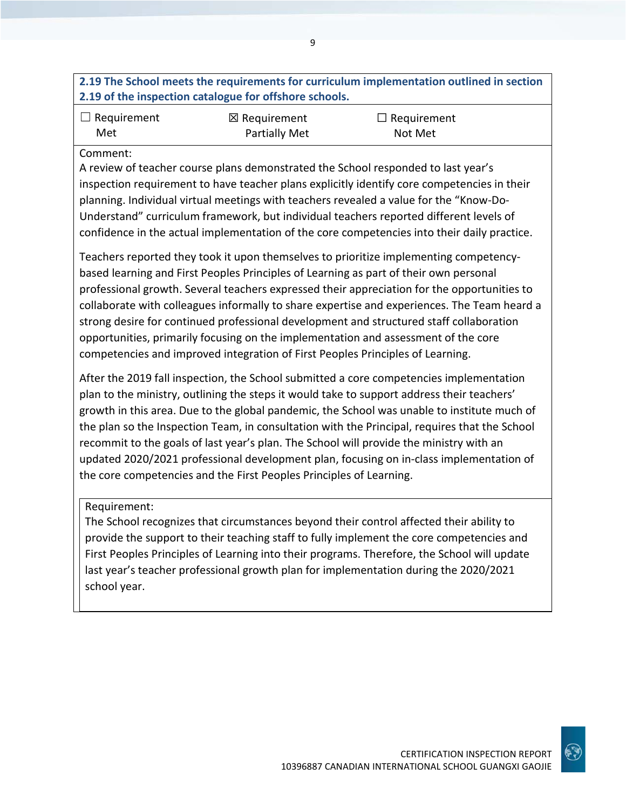## **2.19 The School meets the requirements for curriculum implementation outlined in section 2.19 of the inspection catalogue for offshore schools.**

9

| $\Box$ Requirement | $\boxtimes$ Requirement | $\Box$ Requirement |
|--------------------|-------------------------|--------------------|
| Met                | Partially Met           | Not Met            |

#### Comment:

A review of teacher course plans demonstrated the School responded to last year's inspection requirement to have teacher plans explicitly identify core competencies in their planning. Individual virtual meetings with teachers revealed a value for the "Know-Do-Understand" curriculum framework, but individual teachers reported different levels of confidence in the actual implementation of the core competencies into their daily practice.

Teachers reported they took it upon themselves to prioritize implementing competencybased learning and First Peoples Principles of Learning as part of their own personal professional growth. Several teachers expressed their appreciation for the opportunities to collaborate with colleagues informally to share expertise and experiences. The Team heard a strong desire for continued professional development and structured staff collaboration opportunities, primarily focusing on the implementation and assessment of the core competencies and improved integration of First Peoples Principles of Learning.

After the 2019 fall inspection, the School submitted a core competencies implementation plan to the ministry, outlining the steps it would take to support address their teachers' growth in this area. Due to the global pandemic, the School was unable to institute much of the plan so the Inspection Team, in consultation with the Principal, requires that the School recommit to the goals of last year's plan. The School will provide the ministry with an updated 2020/2021 professional development plan, focusing on in-class implementation of the core competencies and the First Peoples Principles of Learning.

### Requirement:

The School recognizes that circumstances beyond their control affected their ability to provide the support to their teaching staff to fully implement the core competencies and First Peoples Principles of Learning into their programs. Therefore, the School will update last year's teacher professional growth plan for implementation during the 2020/2021 school year.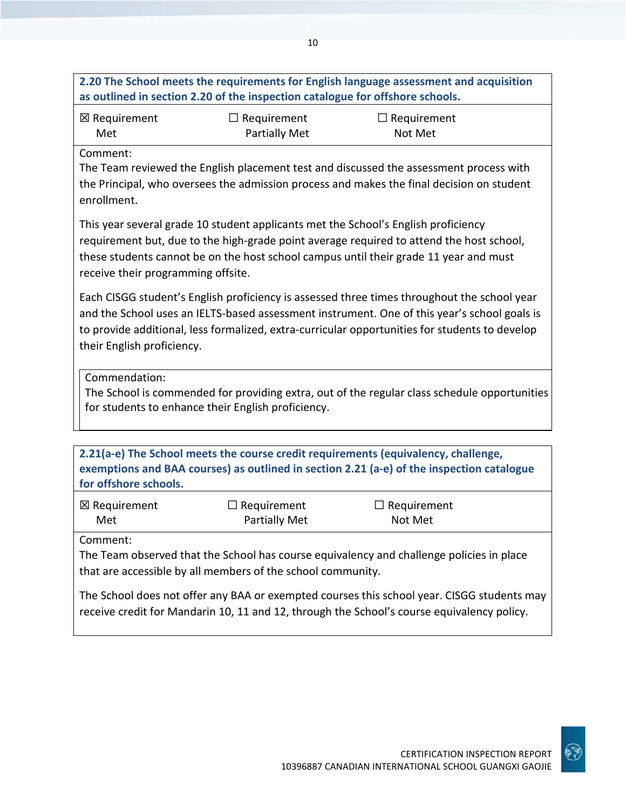## **2.20 The School meets the requirements for English language assessment and acquisition as outlined in section 2.20 of the inspection catalogue for offshore schools.**

10

| ⊠ Requirement | $\Box$ Requirement   | $\Box$ Requirement |
|---------------|----------------------|--------------------|
| Met           | <b>Partially Met</b> | Not Met            |

Comment:

The Team reviewed the English placement test and discussed the assessment process with the Principal, who oversees the admission process and makes the final decision on student enrollment.

This year several grade 10 student applicants met the School's English proficiency requirement but, due to the high-grade point average required to attend the host school, these students cannot be on the host school campus until their grade 11 year and must receive their programming offsite.

Each CISGG student's English proficiency is assessed three times throughout the school year and the School uses an IELTS-based assessment instrument. One of this year's school goals is to provide additional, less formalized, extra-curricular opportunities for students to develop their English proficiency.

Commendation:

The School is commended for providing extra, out of the regular class schedule opportunities for students to enhance their English proficiency.

**2.21(a-e) The School meets the course credit requirements (equivalency, challenge, exemptions and BAA courses) as outlined in section 2.21 (a-e) of the inspection catalogue for offshore schools.**

| ⊠ Requirement | $\Box$ Requirement   | $\Box$ Requirement |
|---------------|----------------------|--------------------|
| Met           | <b>Partially Met</b> | Not Met            |

Comment:

The Team observed that the School has course equivalency and challenge policies in place that are accessible by all members of the school community.

The School does not offer any BAA or exempted courses this school year. CISGG students may receive credit for Mandarin 10, 11 and 12, through the School's course equivalency policy.

CERTIFICATION INSPECTION REPORT

10396887 CANADIAN INTERNATIONAL SCHOOL GUANGXI GAOJIE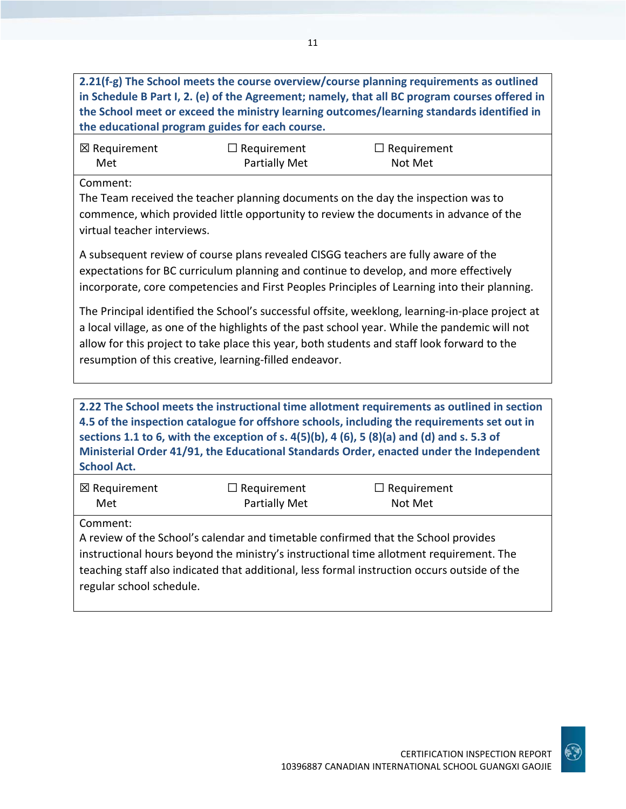**2.21(f-g) The School meets the course overview/course planning requirements as outlined in Schedule B Part I, 2. (e) of the Agreement; namely, that all BC program courses offered in the School meet or exceed the ministry learning outcomes/learning standards identified in the educational program guides for each course.**

| ⊠ Requirement | $\Box$ Requirement | $\Box$ Requirement |
|---------------|--------------------|--------------------|
| Met           | Partially Met      | Not Met            |

Comment:

The Team received the teacher planning documents on the day the inspection was to commence, which provided little opportunity to review the documents in advance of the virtual teacher interviews.

A subsequent review of course plans revealed CISGG teachers are fully aware of the expectations for BC curriculum planning and continue to develop, and more effectively incorporate, core competencies and First Peoples Principles of Learning into their planning.

The Principal identified the School's successful offsite, weeklong, learning-in-place project at a local village, as one of the highlights of the past school year. While the pandemic will not allow for this project to take place this year, both students and staff look forward to the resumption of this creative, learning-filled endeavor.

**2.22 The School meets the instructional time allotment requirements as outlined in section 4.5 of the inspection catalogue for offshore schools, including the requirements set out in sections 1.1 to 6, with the exception of s. 4(5)(b), 4 (6), 5 (8)(a) and (d) and s. 5.3 of Ministerial Order 41/91, the Educational Standards Order, enacted under the Independent School Act.**

| ⊠ Requirement | $\Box$ Requirement | $\Box$ Requirement |
|---------------|--------------------|--------------------|
| Met           | Partially Met      | Not Met            |

Comment:

A review of the School's calendar and timetable confirmed that the School provides instructional hours beyond the ministry's instructional time allotment requirement. The teaching staff also indicated that additional, less formal instruction occurs outside of the regular school schedule.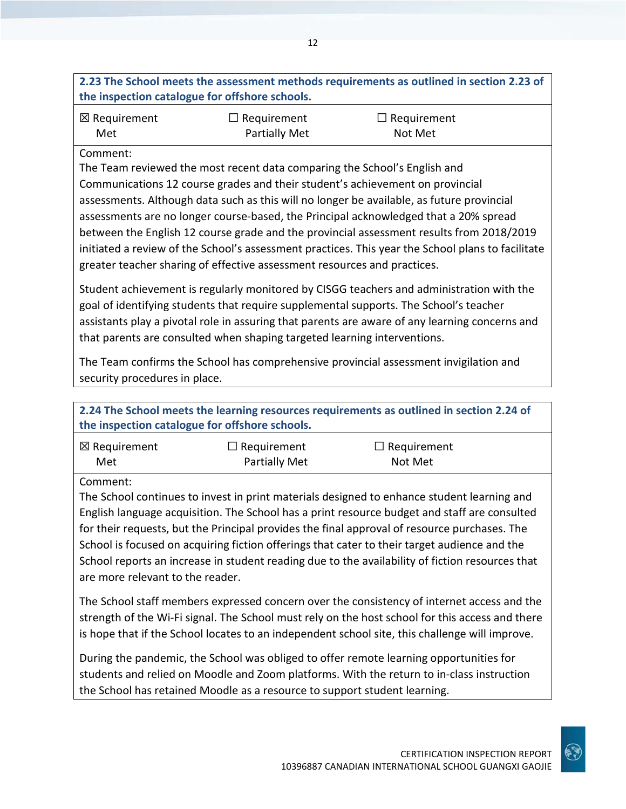**2.23 The School meets the assessment methods requirements as outlined in section 2.23 of the inspection catalogue for offshore schools.**

| ⊠ Requirement | $\Box$ Requirement   | $\Box$ Requirement |
|---------------|----------------------|--------------------|
| Met           | <b>Partially Met</b> | Not Met            |

#### Comment:

The Team reviewed the most recent data comparing the School's English and Communications 12 course grades and their student's achievement on provincial assessments. Although data such as this will no longer be available, as future provincial assessments are no longer course-based, the Principal acknowledged that a 20% spread between the English 12 course grade and the provincial assessment results from 2018/2019 initiated a review of the School's assessment practices. This year the School plans to facilitate greater teacher sharing of effective assessment resources and practices.

Student achievement is regularly monitored by CISGG teachers and administration with the goal of identifying students that require supplemental supports. The School's teacher assistants play a pivotal role in assuring that parents are aware of any learning concerns and that parents are consulted when shaping targeted learning interventions.

The Team confirms the School has comprehensive provincial assessment invigilation and security procedures in place.

| 2.24 The School meets the learning resources requirements as outlined in section 2.24 of<br>the inspection catalogue for offshore schools.                                                                                     |                    |                    |  |
|--------------------------------------------------------------------------------------------------------------------------------------------------------------------------------------------------------------------------------|--------------------|--------------------|--|
| $\boxtimes$ Requirement                                                                                                                                                                                                        | $\Box$ Requirement | $\Box$ Requirement |  |
| Met                                                                                                                                                                                                                            | Partially Met      | Not Met            |  |
| Comment:                                                                                                                                                                                                                       |                    |                    |  |
| The School continues to invest in print materials designed to enhance student learning and                                                                                                                                     |                    |                    |  |
| English language acquisition. The School has a print resource budget and staff are consulted                                                                                                                                   |                    |                    |  |
| for their requests, but the Principal provides the final approval of resource purchases. The                                                                                                                                   |                    |                    |  |
| $\sim$ 1 and 1 and 1 and 1 and 1 and 1 and 1 and 1 and 1 and 1 and 1 and 1 and 1 and 1 and 1 and 1 and 1 and 1 and 1 and 1 and 1 and 1 and 1 and 1 and 1 and 1 and 1 and 1 and 1 and 1 and 1 and 1 and 1 and 1 and 1 and 1 and |                    |                    |  |

School is focused on acquiring fiction offerings that cater to their target audience and the School reports an increase in student reading due to the availability of fiction resources that are more relevant to the reader.

The School staff members expressed concern over the consistency of internet access and the strength of the Wi-Fi signal. The School must rely on the host school for this access and there is hope that if the School locates to an independent school site, this challenge will improve.

During the pandemic, the School was obliged to offer remote learning opportunities for students and relied on Moodle and Zoom platforms. With the return to in-class instruction the School has retained Moodle as a resource to support student learning.

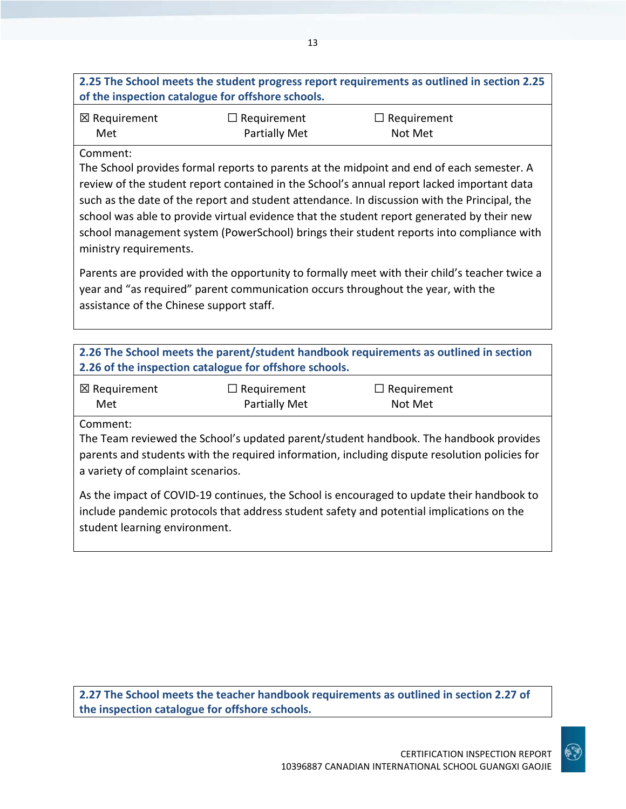## **2.25 The School meets the student progress report requirements as outlined in section 2.25 of the inspection catalogue for offshore schools.**

| ⊠ Requirement | $\Box$ Requirement   | $\Box$ Requirement |
|---------------|----------------------|--------------------|
| Met           | <b>Partially Met</b> | Not Met            |

### Comment:

The School provides formal reports to parents at the midpoint and end of each semester. A review of the student report contained in the School's annual report lacked important data such as the date of the report and student attendance. In discussion with the Principal, the school was able to provide virtual evidence that the student report generated by their new school management system (PowerSchool) brings their student reports into compliance with ministry requirements.

Parents are provided with the opportunity to formally meet with their child's teacher twice a year and "as required" parent communication occurs throughout the year, with the assistance of the Chinese support staff.

| 2.26 The School meets the parent/student handbook requirements as outlined in section |                      |                    |  |
|---------------------------------------------------------------------------------------|----------------------|--------------------|--|
| 2.26 of the inspection catalogue for offshore schools.                                |                      |                    |  |
| $\boxtimes$ Requirement                                                               | $\Box$ Requirement   | $\Box$ Requirement |  |
| Met                                                                                   | <b>Partially Met</b> | Not Met            |  |

Comment:

The Team reviewed the School's updated parent/student handbook. The handbook provides parents and students with the required information, including dispute resolution policies for a variety of complaint scenarios.

As the impact of COVID-19 continues, the School is encouraged to update their handbook to include pandemic protocols that address student safety and potential implications on the student learning environment.

**2.27 The School meets the teacher handbook requirements as outlined in section 2.27 of the inspection catalogue for offshore schools.**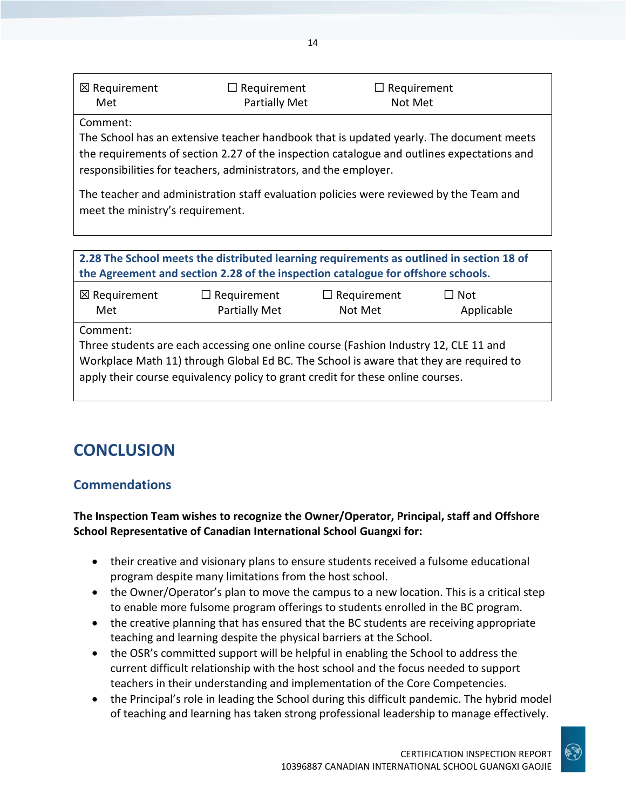| ⊠ Requirement | $\Box$ Requirement | $\Box$ Requirement |  |
|---------------|--------------------|--------------------|--|
| Met           | Partially Met      | Not Met            |  |
|               |                    |                    |  |

Comment:

The School has an extensive teacher handbook that is updated yearly. The document meets the requirements of section 2.27 of the inspection catalogue and outlines expectations and responsibilities for teachers, administrators, and the employer.

The teacher and administration staff evaluation policies were reviewed by the Team and meet the ministry's requirement.

| 2.28 The School meets the distributed learning requirements as outlined in section 18 of<br>the Agreement and section 2.28 of the inspection catalogue for offshore schools.                                                                                                  |  |  |  |  |
|-------------------------------------------------------------------------------------------------------------------------------------------------------------------------------------------------------------------------------------------------------------------------------|--|--|--|--|
| $\boxtimes$ Requirement<br>$\Box$ Requirement<br>$\Box$ Requirement<br>$\Box$ Not<br>Partially Met<br>Met<br>Not Met<br>Applicable                                                                                                                                            |  |  |  |  |
| Comment:<br>Three students are each accessing one online course (Fashion Industry 12, CLE 11 and<br>Workplace Math 11) through Global Ed BC. The School is aware that they are required to<br>apply their course equivalency policy to grant credit for these online courses. |  |  |  |  |

## **CONCLUSION**

## **Commendations**

**The Inspection Team wishes to recognize the Owner/Operator, Principal, staff and Offshore School Representative of Canadian International School Guangxi for:**

- their creative and visionary plans to ensure students received a fulsome educational program despite many limitations from the host school.
- the Owner/Operator's plan to move the campus to a new location. This is a critical step to enable more fulsome program offerings to students enrolled in the BC program.
- the creative planning that has ensured that the BC students are receiving appropriate teaching and learning despite the physical barriers at the School.
- the OSR's committed support will be helpful in enabling the School to address the current difficult relationship with the host school and the focus needed to support teachers in their understanding and implementation of the Core Competencies.
- the Principal's role in leading the School during this difficult pandemic. The hybrid model of teaching and learning has taken strong professional leadership to manage effectively.



14